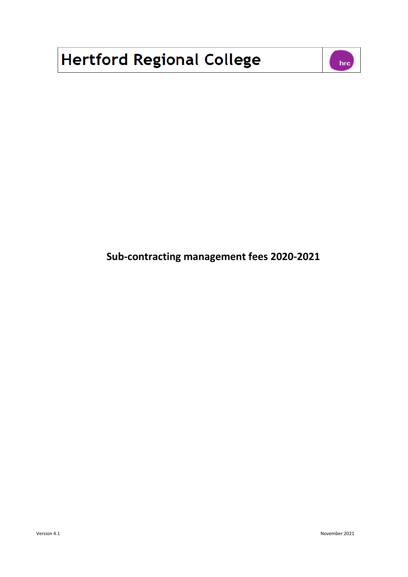## **Hertford Regional College**



**Sub-contracting management fees 2020-2021**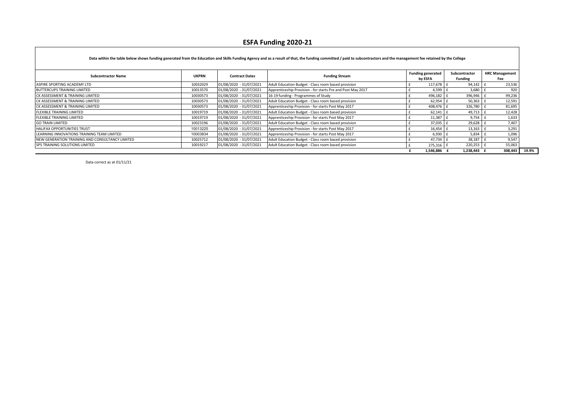## **ESFA Funding 2020-21**

| <b>Subcontractor Name</b>                       | <b>UKPRN</b> | <b>Contract Dates</b>   | <b>Funding Stream</b>                                       | <b>Funding generated</b> | Subcontractor  | <b>HRC Management</b> |
|-------------------------------------------------|--------------|-------------------------|-------------------------------------------------------------|--------------------------|----------------|-----------------------|
|                                                 |              |                         |                                                             | by ESFA                  | <b>Funding</b> | Fee                   |
| ASPIRE SPORTING ACADEMY LTD                     | 10032029     | 01/08/2020 - 31/07/2021 | Adult Education Budget - Class room based provision         | 117,678                  | 94,142         | 23,536                |
| <b>BUTTERCUPS TRAINING LIMITED</b>              | 10013570     | 01/08/2020 - 31/07/2021 | Apprenticeship Provision - for starts Pre and Post May 2017 | 4,599                    | 3,680          | 920                   |
| CK ASSESSMENT & TRAINING LIMITED                | 10030573     | 01/08/2020 - 31/07/2021 | 16-19 funding - Programmes of Study                         | 496,182                  | 396,946        | 99,236                |
| CK ASSESSMENT & TRAINING LIMITED                | 10030573     | 01/08/2020 - 31/07/2021 | Adult Education Budget - Class room based provision         | 62,954                   | 50,363         | 12,591                |
| CK ASSESSMENT & TRAINING LIMITED                | 10030573     | 01/08/2020 - 31/07/2021 | Apprenticeship Provision - for starts Post May 2017         | 408,476 £                | 326,780        | 81,695                |
| <b>FLEXIBLE TRAINING LIMITED</b>                | 10019719     | 01/08/2020 - 31/07/2021 | Adult Education Budget - Class room based provision         | 62,141                   | 49,713         | 12,428                |
| <b>FLEXIBLE TRAINING LIMITED</b>                | 10019719     | 01/08/2020 - 31/07/2021 | Apprenticeship Provision - for starts Post May 2017         | 11,387                   | 9,754          | 1,633                 |
| <b>GO TRAIN LIMITED</b>                         | 10023196     | 01/08/2020 - 31/07/2021 | Adult Education Budget - Class room based provision         | 37,035                   | 29,628         | 7,407                 |
| <b>HALIFAX OPPORTUNITIES TRUST</b>              | 10013225     | 01/08/2020 - 31/07/2021 | Apprenticeship Provision - for starts Post May 2017         | 16,454                   | 13,163         | 3,291                 |
| LEARNING INNOVATIONS TRAINING TEAM LIMITED      | 10003834     | 01/08/2020 - 31/07/2021 | Apprenticeship Provision - for starts Post May 2017         | 6,930                    | $5,834$ f      | 1,096                 |
| NEW GENERATION TRAINING AND CONSULTANCY LIMITED | 10025712     | 01/08/2020 - 31/07/2021 | Adult Education Budget - Class room based provision         | 47,734                   | 38,187         | 9,547                 |
| SPS TRAINING SOLUTIONS LIMITED                  | 10019217     | 01/08/2020 - 31/07/2021 | Adult Education Budget - Class room based provision         | 275,316                  | 220,253        | 55,063                |
|                                                 |              |                         |                                                             | 1,546,886                | 1,238,443 £    | 308,443               |

Data correct as at 01/11/21

Г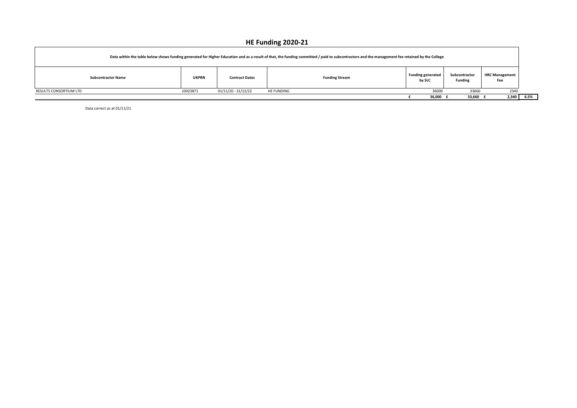## **HE Funding 2020-21**

| Data within the table below shows funding generated for Higher Education and as a result of that, the funding committed / paid to subcontractors and the management fee retained by the College |                           |              |                       |                       |                                    |                                 |                              |      |
|-------------------------------------------------------------------------------------------------------------------------------------------------------------------------------------------------|---------------------------|--------------|-----------------------|-----------------------|------------------------------------|---------------------------------|------------------------------|------|
|                                                                                                                                                                                                 | <b>Subcontractor Name</b> | <b>UKPRN</b> | <b>Contract Dates</b> | <b>Funding Stream</b> | <b>Funding generated</b><br>by SLC | Subcontractor<br><b>Funding</b> | <b>HRC Management</b><br>Fee |      |
| RESULTS CONSORTIUM LTD                                                                                                                                                                          |                           | 10023871     | 01/11/20 - 31/12/22   | HE FUNDING            | 36000                              | 33660                           | 2340                         |      |
|                                                                                                                                                                                                 |                           |              |                       |                       | 36,000 £                           | 33,660                          | 2,340                        | 6.5% |

Data correct as at 01/11/21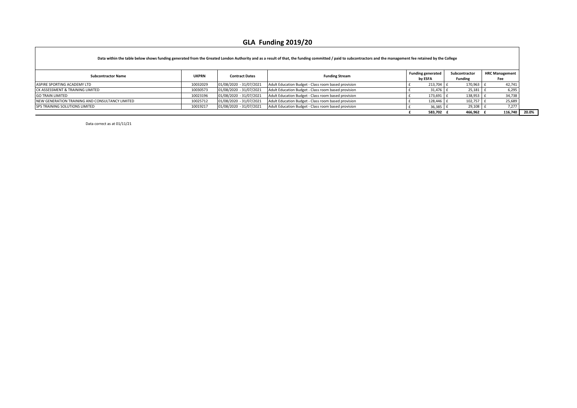## **GLA Funding 2019/20**

|                                                 |              |                         | Data within the table below shows funding generated from the Greated London Authority and as a result of that, the funding committed / paid to subcontractors and the management fee retained by the College |                                     |                                 |                              |
|-------------------------------------------------|--------------|-------------------------|--------------------------------------------------------------------------------------------------------------------------------------------------------------------------------------------------------------|-------------------------------------|---------------------------------|------------------------------|
| <b>Subcontractor Name</b>                       | <b>UKPRN</b> | <b>Contract Dates</b>   | <b>Funding Stream</b>                                                                                                                                                                                        | <b>Funding generated</b><br>by ESFA | Subcontractor<br><b>Funding</b> | <b>HRC Management</b><br>Fee |
| ASPIRE SPORTING ACADEMY LTD                     | 10032029     | 01/08/2020 - 31/07/2021 | Adult Education Budget - Class room based provision                                                                                                                                                          | 213.704                             | 170,963                         | 42,741                       |
| CK ASSESSMENT & TRAINING LIMITED                | 10030573     | 01/08/2020 - 31/07/2021 | Adult Education Budget - Class room based provision                                                                                                                                                          | 31,476                              | 25,181                          | 6,295                        |
| <b>GO TRAIN LIMITED</b>                         | 10023196     | 01/08/2020 - 31/07/2021 | Adult Education Budget - Class room based provision                                                                                                                                                          | 173,691                             | 138,953                         | 34,738                       |
| NEW GENERATION TRAINING AND CONSULTANCY LIMITED | 10025712     | 01/08/2020 - 31/07/2021 | Adult Education Budget - Class room based provision                                                                                                                                                          | 128,446                             | 102,757                         | 25,689                       |
| <b>ISPS TRAINING SOLUTIONS LIMITED</b>          | 10019217     | 01/08/2020 - 31/07/2021 | Adult Education Budget - Class room based provision                                                                                                                                                          | 36,385                              | 29,108                          | 7.277                        |
|                                                 |              |                         |                                                                                                                                                                                                              | 583,702                             | 466,962                         | 116,740                      |

┑

Data correct as at 01/11/21

 $\Gamma$